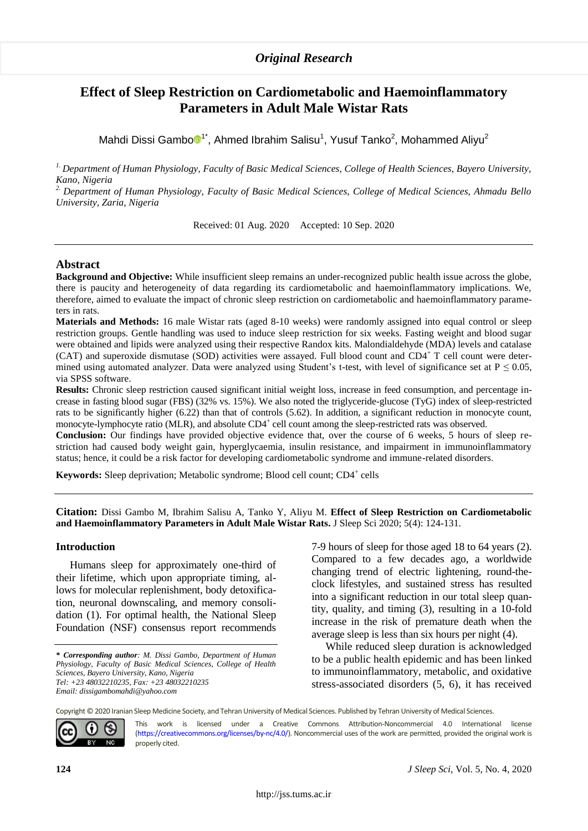# *Original Research*

# **Effect of Sleep Restriction on Cardiometabolic and Haemoinflammatory Parameters in Adult Male Wistar Rats**

Mahdi Dissi Gamb[o](https://orcid.org/0000-0002-7491-8442) $\mathbb{D}^{1*}$ , Ahmed Ibrahim Salisu<sup>1</sup>, Yusuf Tanko<sup>2</sup>, Mohammed Aliyu<sup>2</sup>

*1. Department of Human Physiology, Faculty of Basic Medical Sciences, College of Health Sciences, Bayero University, Kano, Nigeria*

*2. Department of Human Physiology, Faculty of Basic Medical Sciences, College of Medical Sciences, Ahmadu Bello University, Zaria, Nigeria*

Received: 01 Aug. 2020 Accepted: 10 Sep. 2020

### **Abstract**

**Background and Objective:** While insufficient sleep remains an under-recognized public health issue across the globe, there is paucity and heterogeneity of data regarding its cardiometabolic and haemoinflammatory implications. We, therefore, aimed to evaluate the impact of chronic sleep restriction on cardiometabolic and haemoinflammatory parameters in rats.

**Materials and Methods:** 16 male Wistar rats (aged 8-10 weeks) were randomly assigned into equal control or sleep restriction groups. Gentle handling was used to induce sleep restriction for six weeks. Fasting weight and blood sugar were obtained and lipids were analyzed using their respective Randox kits. Malondialdehyde (MDA) levels and catalase (CAT) and superoxide dismutase (SOD) activities were assayed. Full blood count and  $CD4^+$  T cell count were determined using automated analyzer. Data were analyzed using Student's t-test, with level of significance set at  $P \le 0.05$ , via SPSS software.

**Results:** Chronic sleep restriction caused significant initial weight loss, increase in feed consumption, and percentage increase in fasting blood sugar (FBS) (32% vs. 15%). We also noted the triglyceride-glucose (TyG) index of sleep-restricted rats to be significantly higher (6.22) than that of controls (5.62). In addition, a significant reduction in monocyte count, monocyte-lymphocyte ratio (MLR), and absolute CD4<sup>+</sup> cell count among the sleep-restricted rats was observed.

**Conclusion:** Our findings have provided objective evidence that, over the course of 6 weeks, 5 hours of sleep restriction had caused body weight gain, hyperglycaemia, insulin resistance, and impairment in immunoinflammatory status; hence, it could be a risk factor for developing cardiometabolic syndrome and immune-related disorders.

**Keywords:** Sleep deprivation; Metabolic syndrome; Blood cell count; CD4<sup>+</sup> cells

**Citation:** Dissi Gambo M, Ibrahim Salisu A, Tanko Y, Aliyu M. **Effect of Sleep Restriction on Cardiometabolic and Haemoinflammatory Parameters in Adult Male Wistar Rats.** J Sleep Sci 2020; 5(4): 124-131.

### **Introduction**

Humans sleep for approximately one-third of their lifetime, which upon appropriate timing, allows for molecular replenishment, body detoxification, neuronal downscaling, and memory consolidation (1). For optimal health, the National Sleep Foundation (NSF) consensus report recommends

*\** 1*Corresponding author: M. Dissi Gambo, Department of Human Physiology, Faculty of Basic Medical Sciences, College of Health Sciences, Bayero University, Kano, Nigeria Tel: +23 48032210235, Fax: +23 48032210235 Email: dissigambomahdi@yahoo.com*

7-9 hours of sleep for those aged 18 to 64 years (2). Compared to a few decades ago, a worldwide changing trend of electric lightening, round-theclock lifestyles, and sustained stress has resulted into a significant reduction in our total sleep quantity, quality, and timing (3), resulting in a 10-fold increase in the risk of premature death when the average sleep is less than six hours per night (4).

While reduced sleep duration is acknowledged to be a public health epidemic and has been linked to immunoinflammatory, metabolic, and oxidative stress-associated disorders (5, 6), it has received

Copyright © 2020 Iranian Sleep Medicine Society, and Tehran University of Medical Sciences. Published by Tehran University of Medical Sciences.



This work is licensed under a Creative Commons Attribution-Noncommercial 4.0 International license [\(https://creativecommons.org/licenses/by-nc/4.0/\).](https://creativecommons.org/licenses/by-nc/4.0/) Noncommercial uses of the work are permitted, provided the original work is properly cited.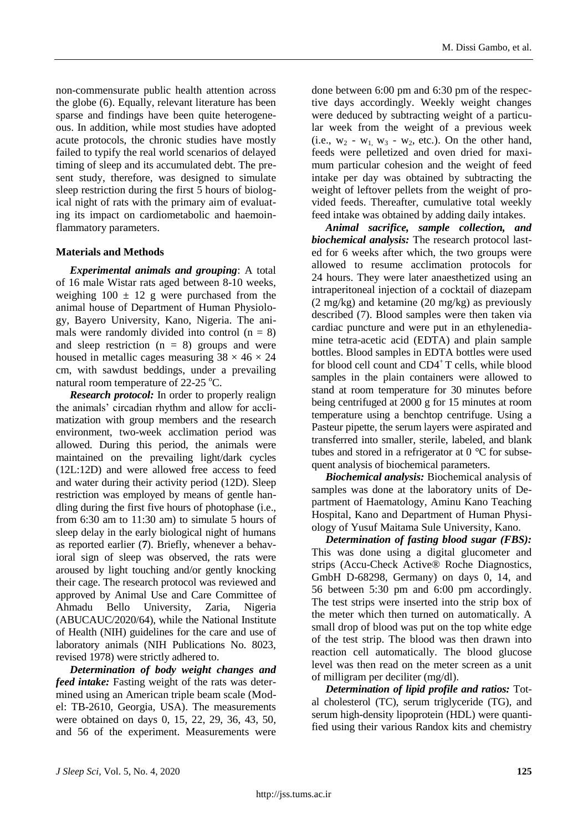non-commensurate public health attention across the globe (6). Equally, relevant literature has been sparse and findings have been quite heterogeneous. In addition, while most studies have adopted acute protocols, the chronic studies have mostly failed to typify the real world scenarios of delayed timing of sleep and its accumulated debt. The present study, therefore, was designed to simulate sleep restriction during the first 5 hours of biological night of rats with the primary aim of evaluating its impact on cardiometabolic and haemoinflammatory parameters.

## **Materials and Methods**

*Experimental animals and grouping*: A total of 16 male Wistar rats aged between 8-10 weeks, weighing  $100 \pm 12$  g were purchased from the animal house of Department of Human Physiology, Bayero University, Kano, Nigeria. The animals were randomly divided into control  $(n = 8)$ and sleep restriction  $(n = 8)$  groups and were housed in metallic cages measuring  $38 \times 46 \times 24$ cm, with sawdust beddings, under a prevailing natural room temperature of  $22-25$  °C.

*Research protocol:* In order to properly realign the animals' circadian rhythm and allow for acclimatization with group members and the research environment, two-week acclimation period was allowed. During this period, the animals were maintained on the prevailing light/dark cycles (12L:12D) and were allowed free access to feed and water during their activity period (12D). Sleep restriction was employed by means of gentle handling during the first five hours of photophase (i.e., from 6:30 am to 11:30 am) to simulate 5 hours of sleep delay in the early biological night of humans as reported earlier (**7**). Briefly, whenever a behavioral sign of sleep was observed, the rats were aroused by light touching and/or gently knocking their cage. The research protocol was reviewed and approved by Animal Use and Care Committee of Ahmadu Bello University, Zaria, Nigeria (ABUCAUC/2020/64), while the National Institute of Health (NIH) guidelines for the care and use of laboratory animals (NIH Publications No. 8023, revised 1978) were strictly adhered to.

*Determination of body weight changes and feed intake:* Fasting weight of the rats was determined using an American triple beam scale (Model: TB-2610, Georgia, USA). The measurements were obtained on days 0, 15, 22, 29, 36, 43, 50, and 56 of the experiment. Measurements were done between 6:00 pm and 6:30 pm of the respective days accordingly. Weekly weight changes were deduced by subtracting weight of a particular week from the weight of a previous week (i.e.,  $w_2 - w_1$ ,  $w_3 - w_2$ , etc.). On the other hand, feeds were pelletized and oven dried for maximum particular cohesion and the weight of feed intake per day was obtained by subtracting the weight of leftover pellets from the weight of provided feeds. Thereafter, cumulative total weekly feed intake was obtained by adding daily intakes.

*Animal sacrifice, sample collection, and biochemical analysis:* The research protocol lasted for 6 weeks after which, the two groups were allowed to resume acclimation protocols for 24 hours. They were later anaesthetized using an intraperitoneal injection of a cocktail of diazepam (2 mg/kg) and ketamine (20 mg/kg) as previously described (7). Blood samples were then taken via cardiac puncture and were put in an ethylenediamine tetra-acetic acid (EDTA) and plain sample bottles. Blood samples in EDTA bottles were used for blood cell count and  $CD4^+T$  cells, while blood samples in the plain containers were allowed to stand at room temperature for 30 minutes before being centrifuged at 2000 g for 15 minutes at room temperature using a benchtop centrifuge. Using a Pasteur pipette, the serum layers were aspirated and transferred into smaller, sterile, labeled, and blank tubes and stored in a refrigerator at 0 *°*C for subsequent analysis of biochemical parameters.

*Biochemical analysis:* Biochemical analysis of samples was done at the laboratory units of Department of Haematology, Aminu Kano Teaching Hospital, Kano and Department of Human Physiology of Yusuf Maitama Sule University, Kano.

*Determination of fasting blood sugar (FBS):* This was done using a digital glucometer and strips (Accu-Check Active® Roche Diagnostics, GmbH D-68298, Germany) on days 0, 14, and 56 between 5:30 pm and 6:00 pm accordingly. The test strips were inserted into the strip box of the meter which then turned on automatically. A small drop of blood was put on the top white edge of the test strip. The blood was then drawn into reaction cell automatically. The blood glucose level was then read on the meter screen as a unit of milligram per deciliter (mg/dl).

*Determination of lipid profile and ratios:* Total cholesterol (TC), serum triglyceride (TG), and serum high-density lipoprotein (HDL) were quantified using their various Randox kits and chemistry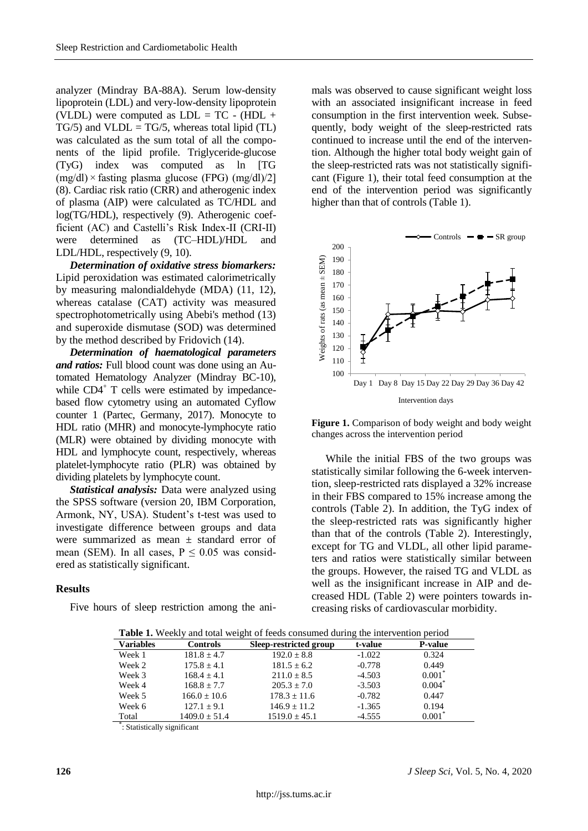analyzer (Mindray BA-88A). Serum low-density lipoprotein (LDL) and very-low-density lipoprotein (VLDL) were computed as  $LDL = TC - (HDL +$  $TG/5$ ) and  $VLDL = TG/5$ , whereas total lipid (TL) was calculated as the sum total of all the components of the lipid profile. Triglyceride-glucose (TyG) index was computed as ln [TG  $(mg/dl) \times$  fasting plasma glucose (FPG)  $(mg/dl)/2$ ] (8). Cardiac risk ratio (CRR) and atherogenic index of plasma (AIP) were calculated as TC/HDL and log(TG/HDL), respectively (9). Atherogenic coefficient (AC) and Castelli's Risk Index-II (CRI-II) were determined as (TC–HDL)/HDL and LDL/HDL, respectively (9, 10).

*Determination of oxidative stress biomarkers:* Lipid peroxidation was estimated calorimetrically by measuring malondialdehyde (MDA) (11, 12), whereas catalase (CAT) activity was measured spectrophotometrically using Abebi's method (13) and superoxide dismutase (SOD) was determined by the method described by Fridovich (14).

*Determination of haematological parameters and ratios:* Full blood count was done using an Automated Hematology Analyzer (Mindray BC-10), while  $CD4^{\dagger}$  T cells were estimated by impedancebased flow cytometry using an automated Cyflow counter 1 (Partec, Germany, 2017). Monocyte to HDL ratio (MHR) and monocyte-lymphocyte ratio (MLR) were obtained by dividing monocyte with HDL and lymphocyte count, respectively, whereas platelet-lymphocyte ratio (PLR) was obtained by dividing platelets by lymphocyte count.

*Statistical analysis:* Data were analyzed using the SPSS software (version 20, IBM Corporation, Armonk, NY, USA). Student's t-test was used to investigate difference between groups and data were summarized as mean  $\pm$  standard error of mean (SEM). In all cases,  $P \le 0.05$  was considered as statistically significant.

## **Results**

Five hours of sleep restriction among the ani-

mals was observed to cause significant weight loss with an associated insignificant increase in feed consumption in the first intervention week. Subsequently, body weight of the sleep-restricted rats continued to increase until the end of the intervention. Although the higher total body weight gain of the sleep-restricted rats was not statistically significant (Figure 1), their total feed consumption at the end of the intervention period was significantly higher than that of controls (Table 1).



**Figure 1.** Comparison of body weight and body weight changes across the intervention period

While the initial FBS of the two groups was statistically similar following the 6-week intervention, sleep-restricted rats displayed a 32% increase in their FBS compared to 15% increase among the controls (Table 2). In addition, the TyG index of the sleep-restricted rats was significantly higher than that of the controls (Table 2). Interestingly, except for TG and VLDL, all other lipid parameters and ratios were statistically similar between the groups. However, the raised TG and VLDL as well as the insignificant increase in AIP and decreased HDL (Table 2) were pointers towards increasing risks of cardiovascular morbidity.

| <b>Table 1.</b> Weekly and total weight of feeds consumed during the intervention period |                  |                        |          |                |
|------------------------------------------------------------------------------------------|------------------|------------------------|----------|----------------|
| <b>Variables</b>                                                                         | <b>Controls</b>  | Sleep-restricted group | t-value  | <b>P-value</b> |
| Week 1                                                                                   | $181.8 \pm 4.7$  | $192.0 \pm 8.8$        | $-1.022$ | 0.324          |
| Week 2                                                                                   | $175.8 + 4.1$    | $181.5 \pm 6.2$        | $-0.778$ | 0.449          |
| Week 3                                                                                   | $168.4 \pm 4.1$  | $211.0 \pm 8.5$        | $-4.503$ | $0.001^*$      |
| Week 4                                                                                   | $168.8 \pm 7.7$  | $205.3 \pm 7.0$        | $-3.503$ | $0.004^*$      |
| Week 5                                                                                   | $166.0 \pm 10.6$ | $178.3 \pm 11.6$       | $-0.782$ | 0.447          |
| Week 6                                                                                   | $127.1 \pm 9.1$  | $146.9 + 11.2$         | $-1.365$ | 0.194          |
| Total                                                                                    | $1409.0 + 51.4$  | $1519.0 \pm 45.1$      | $-4.555$ | $0.001^*$      |

\* : Statistically significant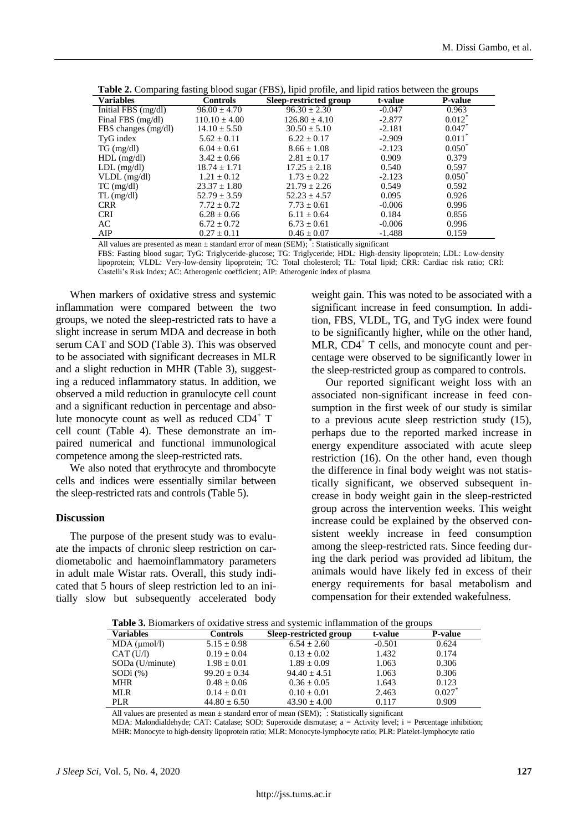| <b>Variables</b>      | <b>Controls</b>   | Sleep-restricted group | t-value  | <b>P-value</b>    |
|-----------------------|-------------------|------------------------|----------|-------------------|
| Initial FBS $(mg/dl)$ | $96.00 \pm 4.70$  | $96.30 \pm 2.30$       | $-0.047$ | 0.963             |
| Final FBS (mg/dl)     | $110.10 \pm 4.00$ | $126.80 \pm 4.10$      | $-2.877$ | $0.012^*$         |
| FBS changes (mg/dl)   | $14.10 \pm 5.50$  | $30.50 \pm 5.10$       | $-2.181$ | $0.047^*$         |
| TyG index             | $5.62 \pm 0.11$   | $6.22 \pm 0.17$        | $-2.909$ | $0.011^*$         |
| $TG \, (mg/dl)$       | $6.04 \pm 0.61$   | $8.66 + 1.08$          | $-2.123$ | $0.050^*$         |
| $HDL$ (mg/dl)         | $3.42 \pm 0.66$   | $2.81 \pm 0.17$        | 0.909    | 0.379             |
| $LDL$ (mg/dl)         | $18.74 \pm 1.71$  | $17.25 + 2.18$         | 0.540    | 0.597             |
| $VLDL$ (mg/dl)        | $1.21 \pm 0.12$   | $1.73 \pm 0.22$        | $-2.123$ | $0.050^{\degree}$ |
| $TC$ (mg/dl)          | $23.37 \pm 1.80$  | $21.79 + 2.26$         | 0.549    | 0.592             |
| $TL$ (mg/dl)          | $52.79 \pm 3.59$  | $52.23 \pm 4.57$       | 0.095    | 0.926             |
| <b>CRR</b>            | $7.72 \pm 0.72$   | $7.73 \pm 0.61$        | $-0.006$ | 0.996             |
| <b>CRI</b>            | $6.28 \pm 0.66$   | $6.11 + 0.64$          | 0.184    | 0.856             |
| AC                    | $6.72 \pm 0.72$   | $6.73 \pm 0.61$        | $-0.006$ | 0.996             |
| AIP                   | $0.27 \pm 0.11$   | $0.46 \pm 0.07$        | $-1.488$ | 0.159             |

**Table 2.** Comparing fasting blood sugar (FBS), lipid profile, and lipid ratios between the groups

All values are presented as mean  $\pm$  standard error of mean (SEM);  $*$ : Statistically significant

FBS: Fasting blood sugar; TyG: Triglyceride-glucose; TG: Triglyceride; HDL: High-density lipoprotein; LDL: Low-density lipoprotein; VLDL: Very-low-density lipoprotein; TC: Total cholesterol; TL: Total lipid; CRR: Cardiac risk ratio; CRI: Castelli's Risk Index; AC: Atherogenic coefficient; AIP: Atherogenic index of plasma

When markers of oxidative stress and systemic inflammation were compared between the two groups, we noted the sleep-restricted rats to have a slight increase in serum MDA and decrease in both serum CAT and SOD (Table 3). This was observed to be associated with significant decreases in MLR and a slight reduction in MHR (Table 3), suggesting a reduced inflammatory status. In addition, we observed a mild reduction in granulocyte cell count and a significant reduction in percentage and absolute monocyte count as well as reduced CD4<sup>+</sup> T cell count (Table 4). These demonstrate an impaired numerical and functional immunological competence among the sleep-restricted rats.

We also noted that erythrocyte and thrombocyte cells and indices were essentially similar between the sleep-restricted rats and controls (Table 5).

#### **Discussion**

The purpose of the present study was to evaluate the impacts of chronic sleep restriction on cardiometabolic and haemoinflammatory parameters in adult male Wistar rats. Overall, this study indicated that 5 hours of sleep restriction led to an initially slow but subsequently accelerated body

weight gain. This was noted to be associated with a significant increase in feed consumption. In addition, FBS, VLDL, TG, and TyG index were found to be significantly higher, while on the other hand, MLR, CD4<sup>+</sup> T cells, and monocyte count and percentage were observed to be significantly lower in the sleep-restricted group as compared to controls.

Our reported significant weight loss with an associated non-significant increase in feed consumption in the first week of our study is similar to a previous acute sleep restriction study (15), perhaps due to the reported marked increase in energy expenditure associated with acute sleep restriction (16). On the other hand, even though the difference in final body weight was not statistically significant, we observed subsequent increase in body weight gain in the sleep-restricted group across the intervention weeks. This weight increase could be explained by the observed consistent weekly increase in feed consumption among the sleep-restricted rats. Since feeding during the dark period was provided ad libitum, the animals would have likely fed in excess of their energy requirements for basal metabolism and compensation for their extended wakefulness.

**Table 3.** Biomarkers of oxidative stress and systemic inflammation of the groups

| $\sim$ which is a commutation of commutation of the system of commutation of the groups |                  |                        |          |                |  |
|-----------------------------------------------------------------------------------------|------------------|------------------------|----------|----------------|--|
| <b>Variables</b>                                                                        | <b>Controls</b>  | Sleep-restricted group | t-value  | <b>P-value</b> |  |
| MDA (µmol/l)                                                                            | $5.15 \pm 0.98$  | $6.54 \pm 2.60$        | $-0.501$ | 0.624          |  |
| CAT(U/I)                                                                                | $0.19 \pm 0.04$  | $0.13 \pm 0.02$        | 1.432    | 0.174          |  |
| SODa (U/minute)                                                                         | $1.98 + 0.01$    | $1.89 + 0.09$          | 1.063    | 0.306          |  |
| $SODi$ (%)                                                                              | $99.20 + 0.34$   | $94.40 + 4.51$         | 1.063    | 0.306          |  |
| <b>MHR</b>                                                                              | $0.48 \pm 0.06$  | $0.36 \pm 0.05$        | 1.643    | 0.123          |  |
| <b>MLR</b>                                                                              | $0.14 + 0.01$    | $0.10 \pm 0.01$        | 2.463    | 0.027          |  |
| <b>PLR</b>                                                                              | $44.80 \pm 6.50$ | $43.90 \pm 4.00$       | 0.117    | 0.909          |  |
|                                                                                         |                  |                        |          |                |  |

All values are presented as mean  $\pm$  standard error of mean (SEM);  $\ddot{\cdot}$ : Statistically significant

MDA: Malondialdehyde; CAT: Catalase; SOD: Superoxide dismutase; a = Activity level; i = Percentage inhibition; MHR: Monocyte to high-density lipoprotein ratio; MLR: Monocyte-lymphocyte ratio; PLR: Platelet-lymphocyte ratio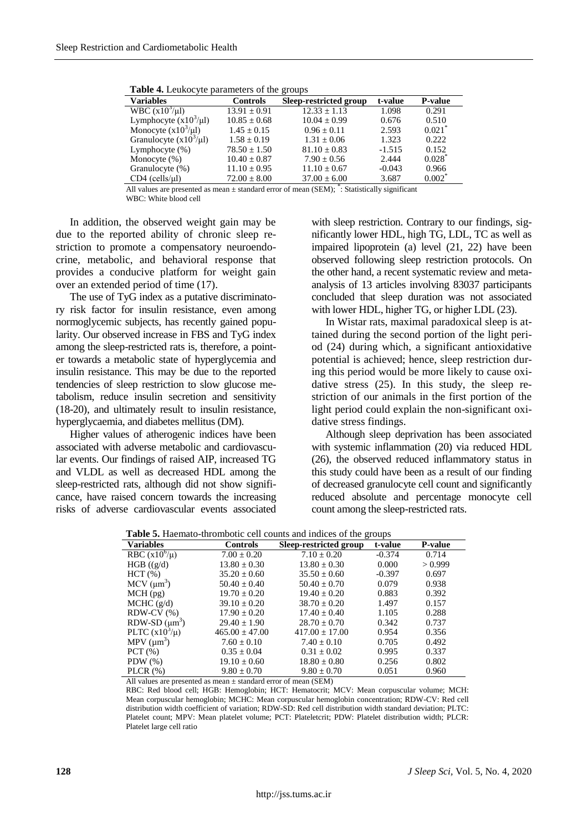| $\sim$ $\sim$ $\sim$ $\sim$ |                  |                        |          |                      |
|-----------------------------|------------------|------------------------|----------|----------------------|
| <b>Variables</b>            | <b>Controls</b>  | Sleep-restricted group | t-value  | <b>P-value</b>       |
| WBC $(x10^3/\mu l)$         | $13.91 \pm 0.91$ | $12.33 \pm 1.13$       | 1.098    | 0.291                |
| Lymphocyte $(x10^3/\mu l)$  | $10.85 \pm 0.68$ | $10.04 \pm 0.99$       | 0.676    | 0.510                |
| Monocyte $(x10^3/\mu l)$    | $1.45 \pm 0.15$  | $0.96 \pm 0.11$        | 2.593    | $0.021$ <sup>*</sup> |
| Granulocyte $(x10^3/\mu l)$ | $1.58 \pm 0.19$  | $1.31 \pm 0.06$        | 1.323    | 0.222                |
| Lymphocyte $(\%)$           | $78.50 \pm 1.50$ | $81.10 \pm 0.83$       | $-1.515$ | 0.152                |
| Monocyte $(\%)$             | $10.40 \pm 0.87$ | $7.90 \pm 0.56$        | 2.444    | $0.028^*$            |
| Granulocyte (%)             | $11.10 \pm 0.95$ | $11.10 \pm 0.67$       | $-0.043$ | 0.966                |
| $CD4$ (cells/ $\mu$ l)      | $72.00 \pm 8.00$ | $37.00 \pm 6.00$       | 3.687    | $0.002^*$            |

**Table 4.** Leukocyte parameters of the groups

All values are presented as mean  $\pm$  standard error of mean (SEM);  $*$ : Statistically significant WBC: White blood cell

In addition, the observed weight gain may be due to the reported ability of chronic sleep restriction to promote a compensatory neuroendocrine, metabolic, and behavioral response that provides a conducive platform for weight gain over an extended period of time (17).

The use of TyG index as a putative discriminatory risk factor for insulin resistance, even among normoglycemic subjects, has recently gained popularity. Our observed increase in FBS and TyG index among the sleep-restricted rats is, therefore, a pointer towards a metabolic state of hyperglycemia and insulin resistance. This may be due to the reported tendencies of sleep restriction to slow glucose metabolism, reduce insulin secretion and sensitivity (18-20), and ultimately result to insulin resistance, hyperglycaemia, and diabetes mellitus (DM).

Higher values of atherogenic indices have been associated with adverse metabolic and cardiovascular events. Our findings of raised AIP, increased TG and VLDL as well as decreased HDL among the sleep-restricted rats, although did not show significance, have raised concern towards the increasing risks of adverse cardiovascular events associated

with sleep restriction. Contrary to our findings, significantly lower HDL, high TG, LDL, TC as well as impaired lipoprotein (a) level (21, 22) have been observed following sleep restriction protocols. On the other hand, a recent systematic review and metaanalysis of 13 articles involving 83037 participants concluded that sleep duration was not associated with lower HDL, higher TG, or higher LDL (23).

In Wistar rats, maximal paradoxical sleep is attained during the second portion of the light period (24) during which, a significant antioxidative potential is achieved; hence, sleep restriction during this period would be more likely to cause oxidative stress (25). In this study, the sleep restriction of our animals in the first portion of the light period could explain the non-significant oxidative stress findings.

Although sleep deprivation has been associated with systemic inflammation (20) via reduced HDL (26), the observed reduced inflammatory status in this study could have been as a result of our finding of decreased granulocyte cell count and significantly reduced absolute and percentage monocyte cell count among the sleep-restricted rats.

| <b>radic 3.</b> Hachiano-thromotic cen counts and mulces of the groups |                    |                        |          |         |  |
|------------------------------------------------------------------------|--------------------|------------------------|----------|---------|--|
| <b>Variables</b>                                                       | <b>Controls</b>    | Sleep-restricted group | t-value  | P-value |  |
| RBC $(x10^6/\mu)$                                                      | $7.00 \pm 0.20$    | $7.10 \pm 0.20$        | $-0.374$ | 0.714   |  |
| $HGB$ ((g/d)                                                           | $13.80 \pm 0.30$   | $13.80 \pm 0.30$       | 0.000    | > 0.999 |  |
| HCT(%)                                                                 | $35.20 \pm 0.60$   | $35.50 \pm 0.60$       | $-0.397$ | 0.697   |  |
| $MCV$ ( $\mu$ m <sup>3</sup> )                                         | $50.40 \pm 0.40$   | $50.40 \pm 0.70$       | 0.079    | 0.938   |  |
| $MCH$ (pg)                                                             | $19.70 \pm 0.20$   | $19.40 \pm 0.20$       | 0.883    | 0.392   |  |
| MCHC (g/d)                                                             | $39.10 \pm 0.20$   | $38.70 \pm 0.20$       | 1.497    | 0.157   |  |
| $RDW-CV$ $%$ )                                                         | $17.90 \pm 0.20$   | $17.40 \pm 0.40$       | 1.105    | 0.288   |  |
| $RDW-SD(\mu m^3)$                                                      | $29.40 \pm 1.90$   | $28.70 \pm 0.70$       | 0.342    | 0.737   |  |
| PLTC $(x10^3/\mu)$                                                     | $465.00 \pm 47.00$ | $417.00 \pm 17.00$     | 0.954    | 0.356   |  |
| $MPV$ ( $\mu$ m <sup>3</sup> )                                         | $7.60 \pm 0.10$    | $7.40 \pm 0.10$        | 0.705    | 0.492   |  |
| PCT(%)                                                                 | $0.35 \pm 0.04$    | $0.31 \pm 0.02$        | 0.995    | 0.337   |  |
| PDW $(\%)$                                                             | $19.10 \pm 0.60$   | $18.80 \pm 0.80$       | 0.256    | 0.802   |  |
| PLCR $(\%)$                                                            | $9.80 \pm 0.70$    | $9.80 \pm 0.70$        | 0.051    | 0.960   |  |

**Table 5.** Haemato-thrombotic cell counts and indices of the groups

All values are presented as mean  $\pm$  standard error of mean (SEM)

RBC: Red blood cell; HGB: Hemoglobin; HCT: Hematocrit; MCV: Mean corpuscular volume; MCH: Mean corpuscular hemoglobin; MCHC: Mean corpuscular hemoglobin concentration; RDW-CV: Red cell distribution width coefficient of variation; RDW-SD: Red cell distribution width standard deviation; PLTC: Platelet count; MPV: Mean platelet volume; PCT: Plateletcrit; PDW: Platelet distribution width; PLCR: Platelet large cell ratio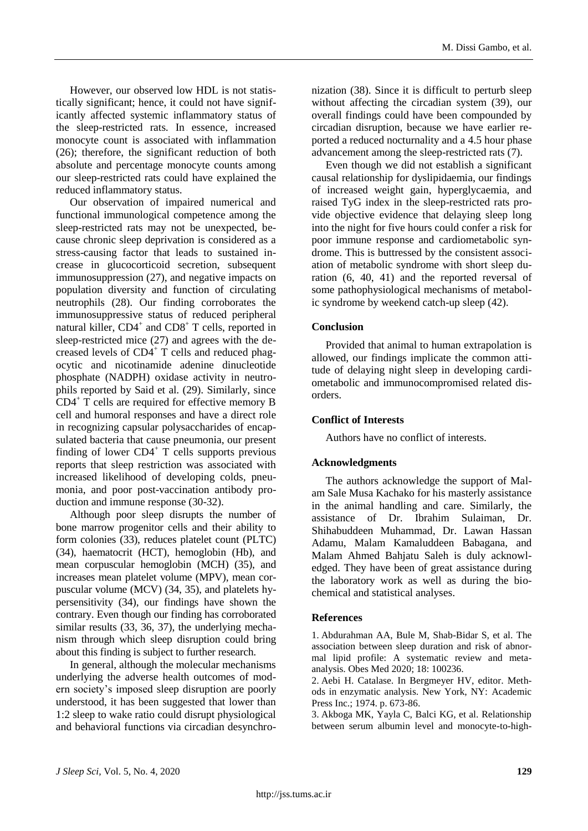However, our observed low HDL is not statistically significant; hence, it could not have significantly affected systemic inflammatory status of the sleep-restricted rats. In essence, increased monocyte count is associated with inflammation (26); therefore, the significant reduction of both absolute and percentage monocyte counts among our sleep-restricted rats could have explained the reduced inflammatory status.

Our observation of impaired numerical and functional immunological competence among the sleep-restricted rats may not be unexpected, because chronic sleep deprivation is considered as a stress-causing factor that leads to sustained increase in glucocorticoid secretion, subsequent immunosuppression (27), and negative impacts on population diversity and function of circulating neutrophils (28). Our finding corroborates the immunosuppressive status of reduced peripheral natural killer, CD4<sup>+</sup> and CD8<sup>+</sup> T cells, reported in sleep-restricted mice (27) and agrees with the decreased levels of  $CD4^+$  T cells and reduced phagocytic and nicotinamide adenine dinucleotide phosphate (NADPH) oxidase activity in neutrophils reported by Said et al. (29). Similarly, since  $CD4^+$  T cells are required for effective memory B cell and humoral responses and have a direct role in recognizing capsular polysaccharides of encapsulated bacteria that cause pneumonia, our present finding of lower  $CD4^+$  T cells supports previous reports that sleep restriction was associated with increased likelihood of developing colds, pneumonia, and poor post-vaccination antibody production and immune response (30-32).

Although poor sleep disrupts the number of bone marrow progenitor cells and their ability to form colonies (33), reduces platelet count (PLTC) (34), haematocrit (HCT), hemoglobin (Hb), and mean corpuscular hemoglobin (MCH) (35), and increases mean platelet volume (MPV), mean corpuscular volume (MCV) (34, 35), and platelets hypersensitivity (34), our findings have shown the contrary. Even though our finding has corroborated similar results (33, 36, 37), the underlying mechanism through which sleep disruption could bring about this finding is subject to further research.

In general, although the molecular mechanisms underlying the adverse health outcomes of modern society's imposed sleep disruption are poorly understood, it has been suggested that lower than 1:2 sleep to wake ratio could disrupt physiological and behavioral functions via circadian desynchronization (38). Since it is difficult to perturb sleep without affecting the circadian system (39), our overall findings could have been compounded by circadian disruption, because we have earlier reported a reduced nocturnality and a 4.5 hour phase advancement among the sleep-restricted rats (7).

Even though we did not establish a significant causal relationship for dyslipidaemia, our findings of increased weight gain, hyperglycaemia, and raised TyG index in the sleep-restricted rats provide objective evidence that delaying sleep long into the night for five hours could confer a risk for poor immune response and cardiometabolic syndrome. This is buttressed by the consistent association of metabolic syndrome with short sleep duration (6, 40, 41) and the reported reversal of some pathophysiological mechanisms of metabolic syndrome by weekend catch-up sleep (42).

## **Conclusion**

Provided that animal to human extrapolation is allowed, our findings implicate the common attitude of delaying night sleep in developing cardiometabolic and immunocompromised related disorders.

## **Conflict of Interests**

Authors have no conflict of interests.

## **Acknowledgments**

The authors acknowledge the support of Malam Sale Musa Kachako for his masterly assistance in the animal handling and care. Similarly, the assistance of Dr. Ibrahim Sulaiman, Dr. Shihabuddeen Muhammad, Dr. Lawan Hassan Adamu, Malam Kamaluddeen Babagana, and Malam Ahmed Bahjatu Saleh is duly acknowledged. They have been of great assistance during the laboratory work as well as during the biochemical and statistical analyses.

## **References**

1. Abdurahman AA, Bule M, Shab-Bidar S, et al. The association between sleep duration and risk of abnormal lipid profile: A systematic review and metaanalysis. Obes Med 2020; 18: 100236.

2. Aebi H. Catalase. In Bergmeyer HV, editor. Methods in enzymatic analysis. New York, NY: Academic Press Inc.; 1974. p. 673-86.

3. Akboga MK, Yayla C, Balci KG, et al. Relationship between serum albumin level and monocyte-to-high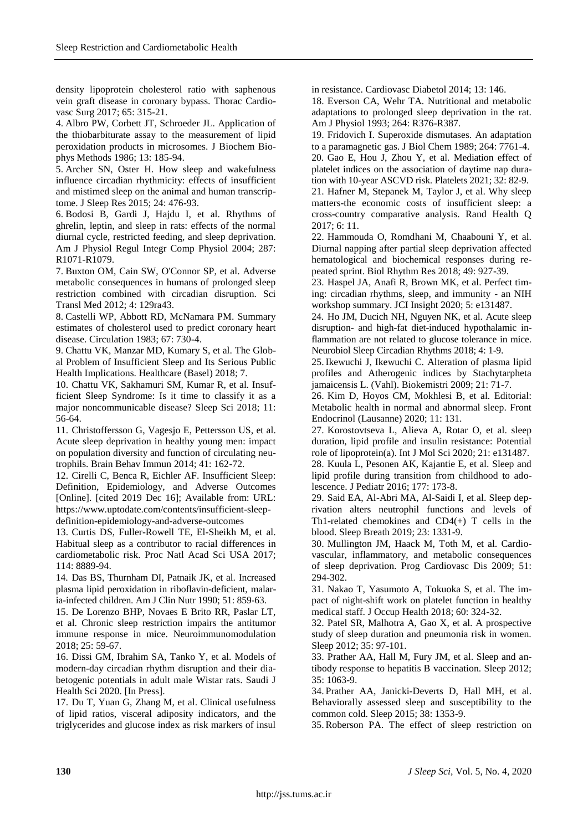density lipoprotein cholesterol ratio with saphenous vein graft disease in coronary bypass. Thorac Cardiovasc Surg 2017; 65: 315-21.

4. Albro PW, Corbett JT, Schroeder JL. Application of the thiobarbiturate assay to the measurement of lipid peroxidation products in microsomes. J Biochem Biophys Methods 1986; 13: 185-94.

5. Archer SN, Oster H. How sleep and wakefulness influence circadian rhythmicity: effects of insufficient and mistimed sleep on the animal and human transcriptome. J Sleep Res 2015; 24: 476-93.

6. Bodosi B, Gardi J, Hajdu I, et al. Rhythms of ghrelin, leptin, and sleep in rats: effects of the normal diurnal cycle, restricted feeding, and sleep deprivation. Am J Physiol Regul Integr Comp Physiol 2004; 287: R1071-R1079.

7. Buxton OM, Cain SW, O'Connor SP, et al. Adverse metabolic consequences in humans of prolonged sleep restriction combined with circadian disruption. Sci Transl Med 2012; 4: 129ra43.

8. Castelli WP, Abbott RD, McNamara PM. Summary estimates of cholesterol used to predict coronary heart disease. Circulation 1983; 67: 730-4.

9. Chattu VK, Manzar MD, Kumary S, et al. The Global Problem of Insufficient Sleep and Its Serious Public Health Implications. Healthcare (Basel) 2018; 7.

10. Chattu VK, Sakhamuri SM, Kumar R, et al. Insufficient Sleep Syndrome: Is it time to classify it as a major noncommunicable disease? Sleep Sci 2018; 11: 56-64.

11. Christoffersson G, Vagesjo E, Pettersson US, et al. Acute sleep deprivation in healthy young men: impact on population diversity and function of circulating neutrophils. Brain Behav Immun 2014; 41: 162-72.

12. Cirelli C, Benca R, Eichler AF. Insufficient Sleep: Definition, Epidemiology, and Adverse Outcomes [Online]. [cited 2019 Dec 16]; Available from: URL: https://www.uptodate.com/contents/insufficient-sleepdefinition-epidemiology-and-adverse-outcomes

13. Curtis DS, Fuller-Rowell TE, El-Sheikh M, et al. Habitual sleep as a contributor to racial differences in cardiometabolic risk. Proc Natl Acad Sci USA 2017; 114: 8889-94.

14. Das BS, Thurnham DI, Patnaik JK, et al. Increased plasma lipid peroxidation in riboflavin-deficient, malaria-infected children. Am J Clin Nutr 1990; 51: 859-63.

15. De Lorenzo BHP, Novaes E Brito RR, Paslar LT, et al. Chronic sleep restriction impairs the antitumor immune response in mice. Neuroimmunomodulation 2018; 25: 59-67.

16. Dissi GM, Ibrahim SA, Tanko Y, et al. Models of modern-day circadian rhythm disruption and their diabetogenic potentials in adult male Wistar rats. Saudi J Health Sci 2020. [In Press].

17. Du T, Yuan G, Zhang M, et al. Clinical usefulness of lipid ratios, visceral adiposity indicators, and the triglycerides and glucose index as risk markers of insul

in resistance. Cardiovasc Diabetol 2014; 13: 146.

18. Everson CA, Wehr TA. Nutritional and metabolic adaptations to prolonged sleep deprivation in the rat. Am J Physiol 1993; 264: R376-R387.

19. Fridovich I. Superoxide dismutases. An adaptation to a paramagnetic gas. J Biol Chem 1989; 264: 7761-4. 20. Gao E, Hou J, Zhou Y, et al. Mediation effect of platelet indices on the association of daytime nap dura-

tion with 10-year ASCVD risk. Platelets 2021; 32: 82-9. 21. Hafner M, Stepanek M, Taylor J, et al. Why sleep matters-the economic costs of insufficient sleep: a cross-country comparative analysis. Rand Health Q 2017; 6: 11.

22. Hammouda O, Romdhani M, Chaabouni Y, et al. Diurnal napping after partial sleep deprivation affected hematological and biochemical responses during repeated sprint. Biol Rhythm Res 2018; 49: 927-39.

23. Haspel JA, Anafi R, Brown MK, et al. Perfect timing: circadian rhythms, sleep, and immunity - an NIH workshop summary. JCI Insight 2020; 5: e131487.

24. Ho JM, Ducich NH, Nguyen NK, et al. Acute sleep disruption- and high-fat diet-induced hypothalamic inflammation are not related to glucose tolerance in mice. Neurobiol Sleep Circadian Rhythms 2018; 4: 1-9.

25.Ikewuchi J, Ikewuchi C. Alteration of plasma lipid profiles and Atherogenic indices by Stachytarpheta jamaicensis L. (Vahl). Biokemistri 2009; 21: 71-7.

26. Kim D, Hoyos CM, Mokhlesi B, et al. Editorial: Metabolic health in normal and abnormal sleep. Front Endocrinol (Lausanne) 2020; 11: 131.

27. Korostovtseva L, Alieva A, Rotar O, et al. sleep duration, lipid profile and insulin resistance: Potential role of lipoprotein(a). Int J Mol Sci 2020; 21: e131487.

28. Kuula L, Pesonen AK, Kajantie E, et al. Sleep and lipid profile during transition from childhood to adolescence. J Pediatr 2016; 177: 173-8.

29. Said EA, Al-Abri MA, Al-Saidi I, et al. Sleep deprivation alters neutrophil functions and levels of Th1-related chemokines and  $CD4(+)$  T cells in the blood. Sleep Breath 2019; 23: 1331-9.

30. Mullington JM, Haack M, Toth M, et al. Cardiovascular, inflammatory, and metabolic consequences of sleep deprivation. Prog Cardiovasc Dis 2009; 51: 294-302.

31. Nakao T, Yasumoto A, Tokuoka S, et al. The impact of night-shift work on platelet function in healthy medical staff. J Occup Health 2018; 60: 324-32.

32. Patel SR, Malhotra A, Gao X, et al. A prospective study of sleep duration and pneumonia risk in women. Sleep 2012; 35: 97-101.

33. Prather AA, Hall M, Fury JM, et al. Sleep and antibody response to hepatitis B vaccination. Sleep 2012; 35: 1063-9.

34. Prather AA, Janicki-Deverts D, Hall MH, et al. Behaviorally assessed sleep and susceptibility to the common cold. Sleep 2015; 38: 1353-9.

35.Roberson PA. The effect of sleep restriction on